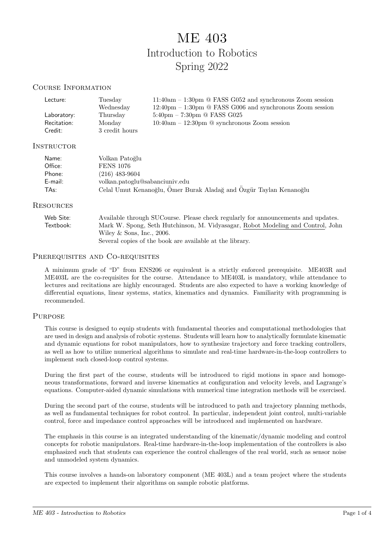# ME 403 Introduction to Robotics Spring 2022

#### Course Information

| Lecture:    | Tuesday        | $11:40am - 1:30pm \space$ EASS G052 and synchronous Zoom session                 |
|-------------|----------------|----------------------------------------------------------------------------------|
|             | Wednesday      | $12:40 \text{pm} - 1:30 \text{pm} \times$ FASS G006 and synchronous Zoom session |
| Laboratory: | Thursday       | $5:40\text{pm} - 7:30\text{pm} \ @ \text{FASS G}025$                             |
| Recitation: | Monday         | $10:40am - 12:30pm \space \textcircled{1}$ synchronous Zoom session              |
| Credit:     | 3 credit hours |                                                                                  |

#### INSTRUCTOR

| Name:   | Volkan Patoğlu                                                     |
|---------|--------------------------------------------------------------------|
| Office: | <b>FENS 1076</b>                                                   |
| Phone:  | (216) 483-9604                                                     |
| E-mail: | volkan.patoglu@sabanciuniv.edu                                     |
| TAs:    | Celal Umut Kenanoğlu, Ömer Burak Aladağ and Özgür Taylan Kenanoğlu |

#### **RESOURCES**

| Web Site: | Available through SUCourse. Please check regularly for announcements and updates. |  |  |  |  |
|-----------|-----------------------------------------------------------------------------------|--|--|--|--|
| Textbook: | Mark W. Spong, Seth Hutchinson, M. Vidyasagar, Robot Modeling and Control, John   |  |  |  |  |
|           | Wiley & Sons, Inc., $2006$ .                                                      |  |  |  |  |
|           | Several copies of the book are available at the library.                          |  |  |  |  |

#### PREREQUISITES AND CO-REQUISITES

A minimum grade of "D" from ENS206 or equivalent is a strictly enforced prerequisite. ME403R and ME403L are the co-requisites for the course. Attendance to ME403L is mandatory, while attendance to lectures and recitations are highly encouraged. Students are also expected to have a working knowledge of differential equations, linear systems, statics, kinematics and dynamics. Familiarity with programming is recommended.

#### **PURPOSE**

This course is designed to equip students with fundamental theories and computational methodologies that are used in design and analysis of robotic systems. Students will learn how to analytically formulate kinematic and dynamic equations for robot manipulators, how to synthesize trajectory and force tracking controllers, as well as how to utilize numerical algorithms to simulate and real-time hardware-in-the-loop controllers to implement such closed-loop control systems.

During the first part of the course, students will be introduced to rigid motions in space and homogeneous transformations, forward and inverse kinematics at configuration and velocity levels, and Lagrange's equations. Computer-aided dynamic simulations with numerical time integration methods will be exercised.

During the second part of the course, students will be introduced to path and trajectory planning methods, as well as fundamental techniques for robot control. In particular, independent joint control, multi-variable control, force and impedance control approaches will be introduced and implemented on hardware.

The emphasis in this course is an integrated understanding of the kinematic/dynamic modeling and control concepts for robotic manipulators. Real-time hardware-in-the-loop implementation of the controllers is also emphasized such that students can experience the control challenges of the real world, such as sensor noise and unmodeled system dynamics.

This course involves a hands-on laboratory component (ME 403L) and a team project where the students are expected to implement their algorithms on sample robotic platforms.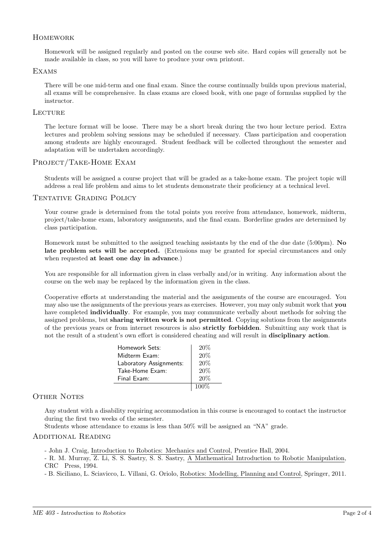### **HOMEWORK**

Homework will be assigned regularly and posted on the course web site. Hard copies will generally not be made available in class, so you will have to produce your own printout.

#### Exams

There will be one mid-term and one final exam. Since the course continually builds upon previous material, all exams will be comprehensive. In class exams are closed book, with one page of formulas supplied by the instructor.

#### **LECTURE**

The lecture format will be loose. There may be a short break during the two hour lecture period. Extra lectures and problem solving sessions may be scheduled if necessary. Class participation and cooperation among students are highly encouraged. Student feedback will be collected throughout the semester and adaptation will be undertaken accordingly.

#### PROJECT/TAKE-HOME EXAM

Students will be assigned a course project that will be graded as a take-home exam. The project topic will address a real life problem and aims to let students demonstrate their proficiency at a technical level.

#### Tentative Grading Policy

Your course grade is determined from the total points you receive from attendance, homework, midterm, project/take-home exam, laboratory assignments, and the final exam. Borderline grades are determined by class participation.

Homework must be submitted to the assigned teaching assistants by the end of the due date (5:00pm). No late problem sets will be accepted. (Extensions may be granted for special circumstances and only when requested at least one day in advance.)

You are responsible for all information given in class verbally and/or in writing. Any information about the course on the web may be replaced by the information given in the class.

Cooperative efforts at understanding the material and the assignments of the course are encouraged. You may also use the assignments of the previous years as exercises. However, you may only submit work that you have completed individually. For example, you may communicate verbally about methods for solving the assigned problems, but sharing written work is not permitted. Copying solutions from the assignments of the previous years or from internet resources is also strictly forbidden. Submitting any work that is not the result of a student's own effort is considered cheating and will result in disciplinary action.

| Homework Sets:          | 20%     |
|-------------------------|---------|
| Midterm Exam:           | 20%     |
| Laboratory Assignments: | 20%     |
| Take-Home Exam:         | 20%     |
| Final Exam:             | 20%     |
|                         | $100\%$ |

#### OTHER NOTES

Any student with a disability requiring accommodation in this course is encouraged to contact the instructor during the first two weeks of the semester.

Students whose attendance to exams is less than 50% will be assigned an "NA" grade.

#### Additional Reading

- John J. Craig, Introduction to Robotics: Mechanics and Control, Prentice Hall, 2004.

- R. M. Murray, Z. Li, S. S. Sastry, S. S. Sastry, A Mathematical Introduction to Robotic Manipulation, CRC Press, 1994.

- B. Siciliano, L. Sciavicco, L. Villani, G. Oriolo, Robotics: Modelling, Planning and Control, Springer, 2011.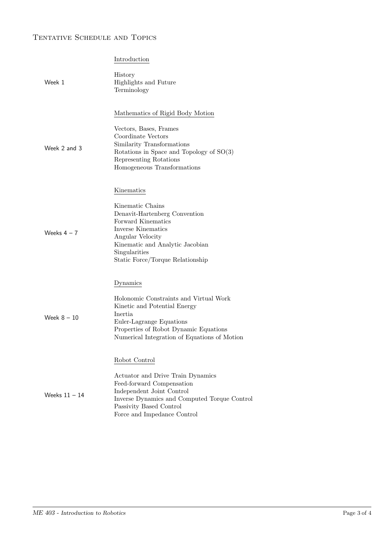# Tentative Schedule and Topics

|                 | Introduction                                                                                                                                                                                                          |
|-----------------|-----------------------------------------------------------------------------------------------------------------------------------------------------------------------------------------------------------------------|
| Week 1          | History<br>Highlights and Future<br>Terminology                                                                                                                                                                       |
| Week 2 and 3    | Mathematics of Rigid Body Motion<br>Vectors, Bases, Frames<br>Coordinate Vectors<br>Similarity Transformations<br>Rotations in Space and Topology of $SO(3)$<br>Representing Rotations<br>Homogeneous Transformations |
|                 | Kinematics                                                                                                                                                                                                            |
| Weeks $4 - 7$   | Kinematic Chains<br>Denavit-Hartenberg Convention<br>Forward Kinematics<br>Inverse Kinematics<br>Angular Velocity<br>Kinematic and Analytic Jacobian<br>Singularities<br>Static Force/Torque Relationship             |
| Week $8-10$     | Dynamics<br>Holonomic Constraints and Virtual Work<br>Kinetic and Potential Energy<br>Inertia<br>Euler-Lagrange Equations<br>Properties of Robot Dynamic Equations<br>Numerical Integration of Equations of Motion    |
|                 | Robot Control                                                                                                                                                                                                         |
| Weeks $11 - 14$ | Actuator and Drive Train Dynamics<br>Feed-forward Compensation<br>Independent Joint Control<br>Inverse Dynamics and Computed Torque Control<br>Passivity Based Control<br>Force and Impedance Control                 |